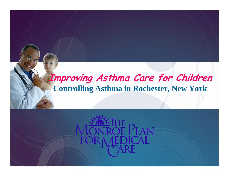## **Improving Asthma Care for Children Controlling Asthma in Rochester, New York**

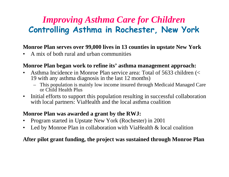## *Improving Asthma Care for Children* **Controlling Asthma in Rochester, New York**

#### **Monroe Plan serves over 99,000 lives in 13 counties in upstate New York**

•A mix of both rural and urban communities

#### **Monroe Plan began work to refine its' asthma management approach:**

- $\bullet$  Asthma Incidence in Monroe Plan service area: Total of 5633 children (< 19 with any asthma diagnosis in the last 12 months)
	- This population is mainly low income insured through Medicaid Managed Care or Child Health Plus
- $\bullet$  Initial efforts to support this population resulting in successful collaboration with local partners: ViaHealth and the local asthma coalition

#### **Monroe Plan was awarded a grant by the RWJ:**

- •Program started in Upstate New York (Rochester) in 2001
- $\bullet$ Led by Monroe Plan in collaboration with ViaHealth & local coalition

#### **After pilot grant funding, the project was sustained through Monroe Plan**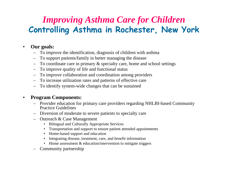## *Improving Asthma Care for Children* **Controlling Asthma in Rochester, New York**

#### $\bullet$ **Our goals:**

- To improve the identification, diagnosis of children with asthma
- To support patients/family in better managing the disease
- To coordinate care in primary & specialty care, home and school settings
- To improve quality of life and functional status
- To improve collaboration and coordination among providers
- To increase utilization rates and patterns of effective care
- To identify system-wide changes that can be sustained

#### •**Program Components:**

- Provider education for primary care providers regarding NHLBI-based Community Practice Guidelines
- Diversion of moderate to severe patients to specialty care
- Outreach & Case Management
	- Bilingual and Culturally Appropriate Services
	- Transportation and support to ensure patient attended appointments
	- Home-based support and education
	- Integrating disease, treatment, care, and benefit information
	- Home assessment & education/intervention to mitigate triggers
- Community partnership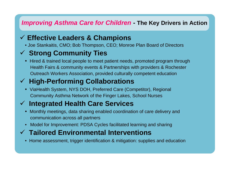#### *Improving Asthma Care for Children* **- The Key Drivers in Action**

#### 9 **Effective Leaders & Champions**

• Joe Stankaitis, CMO; Bob Thompson, CEO; Monroe Plan Board of Directors

#### 9 **Strong Community Ties**

• Hired & trained local people to meet patient needs, promoted program through Health Fairs & community events & Partnerships with providers & Rochester Outreach Workers Association, provided culturally competent education

### 9 **High-Performing Collaborations**

• ViaHealth System, NYS DOH, Preferred Care (Competitor), Regional Community Asthma Network of the Finger Lakes, School Nurses

### 9 **Integrated Health Care Services**

- Monthly meetings, data sharing enabled coordination of care delivery and communication across all partners
- Model for Improvement: PDSA Cycles facilitated learning and sharing

### 9 **Tailored Environmental Interventions**

• Home assessment, trigger identification & mitigation: supplies and education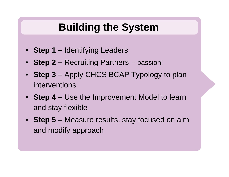## **Building the System**

- **Step 1 –** Identifying Leaders
- **Step 2 –** Recruiting Partners passion!
- **Step 3 –** Apply CHCS BCAP Typology to plan interventions
- **Step 4 –** Use the Improvement Model to learn and stay flexible
- **Step 5 –** Measure results, stay focused on aim and modify approach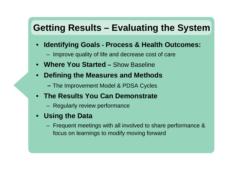## **Getting Results – Evaluating the System**

- • **Identifying Goals - Process & Health Outcomes:**
	- Improve quality of life and decrease cost of care
- •**Where You Started –** Show Baseline
- $\bullet$  **Defining the Measures and Methods** 
	- **–** The Improvement Model & PDSA Cycles
- **The Results You Can Demonstrate** 
	- Regularly review performance
- • **Using the Data**
	- Frequent meetings with all involved to share performance & focus on learnings to modify moving forward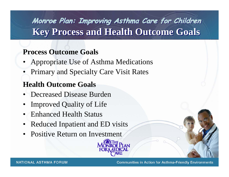## **Monroe Plan: Improving Asthma Care for Children Monroe Plan: Improving Asthma Care for Children Monroe Plan: Improving Asthma Care for Children Key Process and Health Outcome Goals Key Process and Health Outcome Goals**

### **Process Outcome Goals**

- •Appropriate Use of Asthma Medications
- •Primary and Specialty Care Visit Rates

### **Health Outcome Goals**

- •Decreased Disease Burden
- •Improved Quality of Life
- •Enhanced Health Status
- $\bullet$ Reduced Inpatient and ED visits
- •Positive Return on Investment

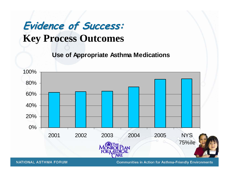**Use of Appropriate Asthma Medications**

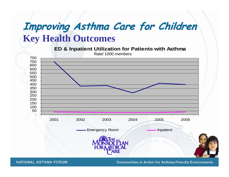## **Improving Asthma Care for Children Improving Asthma Care for Children Key Health Outcomes**



**NATIONAL ASTHMA FORUM**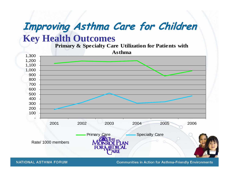# **Improving Asthma Care for Children Improving Asthma Care for Children Key Health Outcomes**

**Primary & Specialt y Care Utilization for Patients with** 



**NATIONAL ASTHMA FORUM**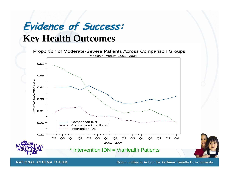

**NATIONAL ASTHMA FORUM**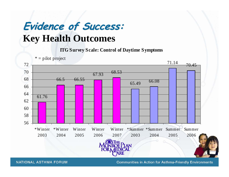**ITG Survey Scale: Control of Daytime Symptoms**

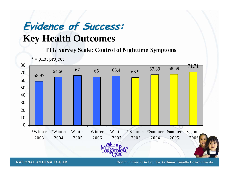**ITG Survey Scale: Control of Nighttime Symptoms**



**NATIONAL ASTHMA FORUM**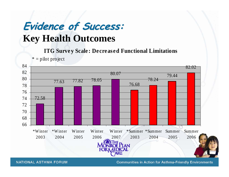**ITG Surve y Scale : De cre ase d Functional Limitations**



**NATIONAL ASTHMA FORUM**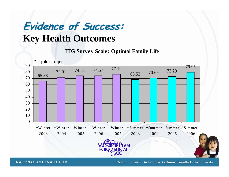**ITG Survey Scale : Optimal Family Life** 

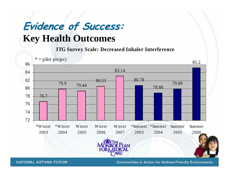**ITG Survey Scale: Decreased Inhaler Interference**

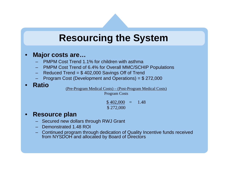## **Resourcing the System**

#### •**Major costs are…**

- PMPM Cost Trend 1.1% for children with asthma
- PMPM Cost Trend of 6.4% for Overall MMC/SCHIP Populations
- Reduced Trend = \$ 402,000 Savings Off of Trend
- Program Cost (Development and Operations) = \$ 272,000
- •**Ratio**

(Pre-Program Medical Costs) – (Post-Program Medical Costs) Program Costs

> $$402,000 = 1.48$ \$ 272,000

#### •**Resource plan**

- Secured new dollars through RWJ Grant
- Demonstrated 1.48 ROI
- Continued program through dedication of Quality Incentive funds received from NYSDOH and allocated by Board of Directors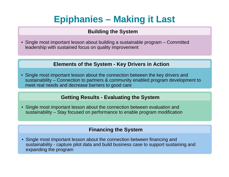## **Epiphanies – Making it Last**

#### **Building the System**

• Single most important lesson about building a sustainable program – Committed leadership with sustained focus on quality improvement

#### **Elements of the System - Key Drivers in Action**

• Single most important lesson about the connection between the key drivers and sustainability – Connection to partners & community enabled program development to meet real needs and decrease barriers to good care

#### **Getting Results - Evaluating the System**

• Single most important lesson about the connection between evaluation and sustainability – Stay focused on performance to enable program modification

#### **Financing the System**

• Single most important lesson about the connection between financing and sustainability - capture pilot data and build business case to support sustaining and expanding the program